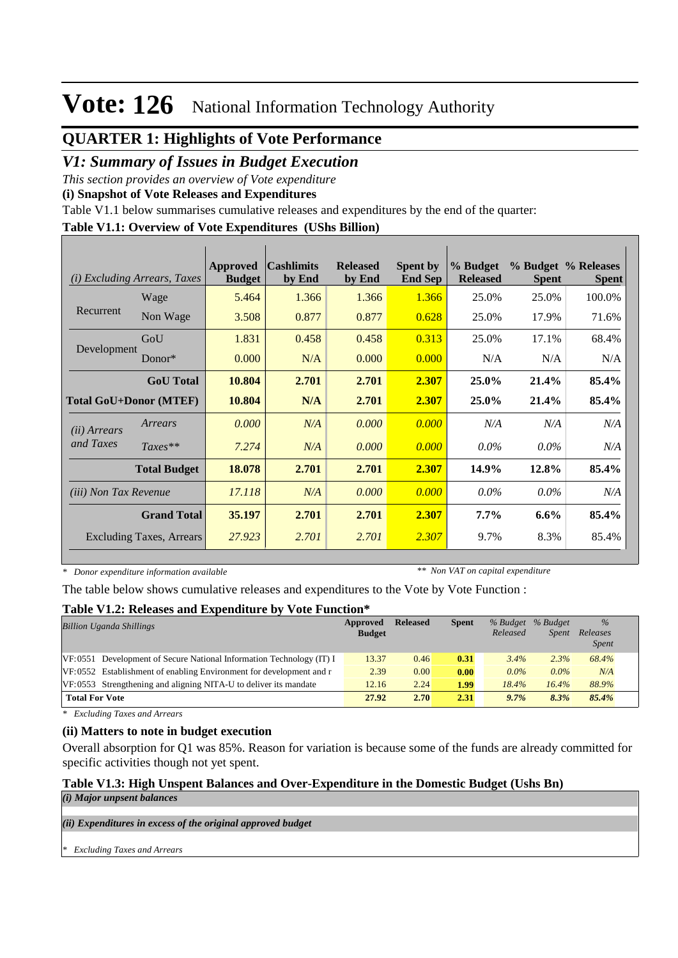## **QUARTER 1: Highlights of Vote Performance**

### *V1: Summary of Issues in Budget Execution*

*This section provides an overview of Vote expenditure* 

**(i) Snapshot of Vote Releases and Expenditures**

Table V1.1 below summarises cumulative releases and expenditures by the end of the quarter:

### **Table V1.1: Overview of Vote Expenditures (UShs Billion)**

| <i>Excluding Arrears, Taxes</i><br>(i)                |                     | Approved<br><b>Budget</b> | <b>Cashlimits</b><br>by End | <b>Released</b><br>by End | <b>Spent by</b><br><b>End Sep</b> | % Budget<br><b>Released</b> | <b>Spent</b> | % Budget % Releases<br><b>Spent</b> |
|-------------------------------------------------------|---------------------|---------------------------|-----------------------------|---------------------------|-----------------------------------|-----------------------------|--------------|-------------------------------------|
|                                                       | Wage                | 5.464                     | 1.366                       | 1.366                     | 1.366                             | 25.0%                       | 25.0%        | 100.0%                              |
| Recurrent                                             | Non Wage            | 3.508                     | 0.877                       | 0.877                     | 0.628                             | 25.0%                       | 17.9%        | 71.6%                               |
|                                                       | GoU                 | 1.831                     | 0.458                       | 0.458                     | 0.313                             | 25.0%                       | 17.1%        | 68.4%                               |
| Development                                           | $Donor*$            | 0.000                     | N/A                         | 0.000                     | 0.000                             | N/A                         | N/A          | N/A                                 |
|                                                       | <b>GoU</b> Total    | 10.804                    | 2.701                       | 2.701                     | 2.307                             | 25.0%                       | 21.4%        | 85.4%                               |
| <b>Total GoU+Donor (MTEF)</b>                         |                     | 10.804                    | N/A                         | 2.701                     | 2.307                             | 25.0%                       | 21.4%        | 85.4%                               |
| ( <i>ii</i> ) Arrears                                 | Arrears             | 0.000                     | N/A                         | 0.000                     | 0.000                             | N/A                         | N/A          | N/A                                 |
| and Taxes                                             | $Taxes**$           | 7.274                     | N/A                         | 0.000                     | 0.000                             | $0.0\%$                     | $0.0\%$      | N/A                                 |
|                                                       | <b>Total Budget</b> | 18.078                    | 2.701                       | 2.701                     | 2.307                             | 14.9%                       | 12.8%        | 85.4%                               |
| <i>(iii)</i> Non Tax Revenue                          |                     | 17.118                    | N/A                         | 0.000                     | 0.000                             | $0.0\%$                     | $0.0\%$      | N/A                                 |
| <b>Grand Total</b><br><b>Excluding Taxes, Arrears</b> |                     | 35.197                    | 2.701                       | 2.701                     | 2.307                             | $7.7\%$                     | $6.6\%$      | 85.4%                               |
|                                                       |                     | 27.923                    | 2.701                       | 2.701                     | 2.307                             | 9.7%                        | 8.3%         | 85.4%                               |

*\* Donor expenditure information available*

*\*\* Non VAT on capital expenditure*

The table below shows cumulative releases and expenditures to the Vote by Vote Function :

### **Table V1.2: Releases and Expenditure by Vote Function\***

| <b>Billion Uganda Shillings</b>                                         | Approved<br><b>Budget</b> | <b>Released</b> | <b>Spent</b> | % Budget<br>Released | % Budget<br><b>Spent</b> | $\%$<br>Releases<br><i>Spent</i> |
|-------------------------------------------------------------------------|---------------------------|-----------------|--------------|----------------------|--------------------------|----------------------------------|
| $VF: 0551$ Development of Secure National Information Technology (IT) I | 13.37                     | 0.46            | 0.31         | 3.4%                 | 2.3%                     | 68.4%                            |
| VF:0552 Establishment of enabling Environment for development and r     | 2.39                      | 0.00            | 0.00         | $0.0\%$              | $0.0\%$                  | N/A                              |
| VF:0553 Strengthening and aligning NITA-U to deliver its mandate        | 12.16                     | 2.24            | 1.99         | 18.4%                | 16.4%                    | 88.9%                            |
| <b>Total For Vote</b>                                                   | 27.92                     | 2.70            | 2.31         | 9.7%                 | 8.3%                     | 85.4%                            |

*\* Excluding Taxes and Arrears*

### **(ii) Matters to note in budget execution**

Overall absorption for Q1 was 85%. Reason for variation is because some of the funds are already committed for specific activities though not yet spent.

### **Table V1.3: High Unspent Balances and Over-Expenditure in the Domestic Budget (Ushs Bn)**

*(i) Major unpsent balances*

*(ii) Expenditures in excess of the original approved budget*

*\* Excluding Taxes and Arrears*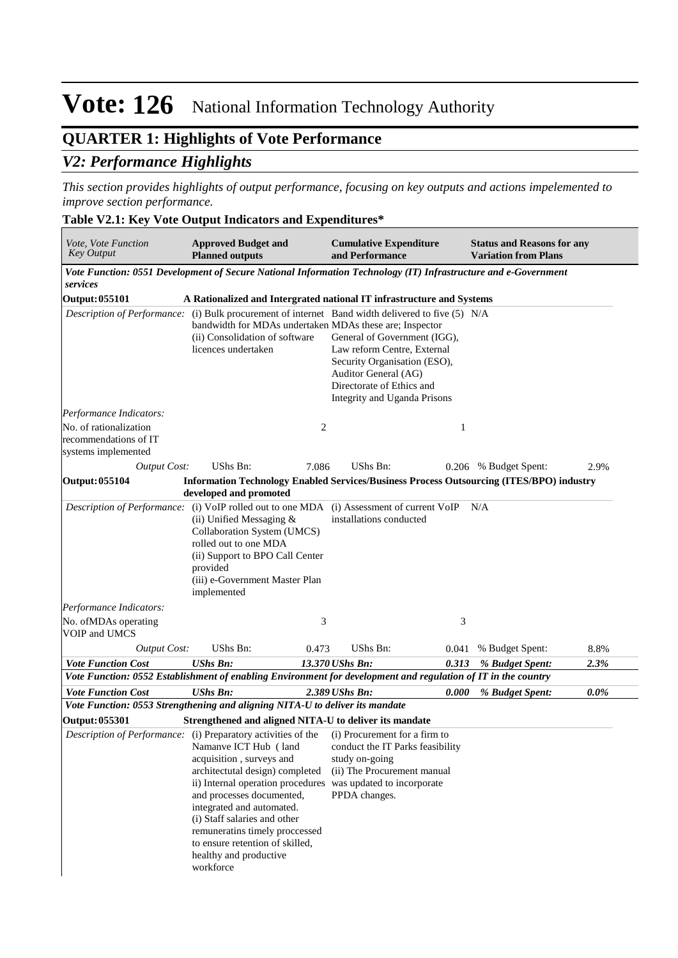## **QUARTER 1: Highlights of Vote Performance**

### *V2: Performance Highlights*

*This section provides highlights of output performance, focusing on key outputs and actions impelemented to improve section performance.*

### **Table V2.1: Key Vote Output Indicators and Expenditures\***

| Vote, Vote Function<br><b>Key Output</b>                               | <b>Approved Budget and</b><br><b>Planned outputs</b>                                                                                                                                                                                                                                                                                                                                                                        | <b>Cumulative Expenditure</b><br>and Performance                                                                                                                                                                                                                                      | <b>Status and Reasons for any</b><br><b>Variation from Plans</b> |
|------------------------------------------------------------------------|-----------------------------------------------------------------------------------------------------------------------------------------------------------------------------------------------------------------------------------------------------------------------------------------------------------------------------------------------------------------------------------------------------------------------------|---------------------------------------------------------------------------------------------------------------------------------------------------------------------------------------------------------------------------------------------------------------------------------------|------------------------------------------------------------------|
|                                                                        |                                                                                                                                                                                                                                                                                                                                                                                                                             | Vote Function: 0551 Development of Secure National Information Technology (IT) Infrastructure and e-Government                                                                                                                                                                        |                                                                  |
| services                                                               |                                                                                                                                                                                                                                                                                                                                                                                                                             |                                                                                                                                                                                                                                                                                       |                                                                  |
| <b>Output: 055101</b>                                                  |                                                                                                                                                                                                                                                                                                                                                                                                                             | A Rationalized and Intergrated national IT infrastructure and Systems                                                                                                                                                                                                                 |                                                                  |
|                                                                        | bandwidth for MDAs undertaken MDAs these are; Inspector<br>(ii) Consolidation of software<br>licences undertaken                                                                                                                                                                                                                                                                                                            | Description of Performance: (i) Bulk procurement of internet Band width delivered to five (5) N/A<br>General of Government (IGG),<br>Law reform Centre, External<br>Security Organisation (ESO),<br>Auditor General (AG)<br>Directorate of Ethics and<br>Integrity and Uganda Prisons |                                                                  |
| Performance Indicators:                                                |                                                                                                                                                                                                                                                                                                                                                                                                                             |                                                                                                                                                                                                                                                                                       |                                                                  |
| No. of rationalization<br>recommendations of IT<br>systems implemented |                                                                                                                                                                                                                                                                                                                                                                                                                             | 2<br>1                                                                                                                                                                                                                                                                                |                                                                  |
| <b>Output Cost:</b>                                                    | UShs Bn:<br>7.086                                                                                                                                                                                                                                                                                                                                                                                                           | UShs Bn:                                                                                                                                                                                                                                                                              | 2.9%<br>0.206 % Budget Spent:                                    |
| <b>Output: 055104</b>                                                  | developed and promoted                                                                                                                                                                                                                                                                                                                                                                                                      | <b>Information Technology Enabled Services/Business Process Outsourcing (ITES/BPO) industry</b>                                                                                                                                                                                       |                                                                  |
|                                                                        | (ii) Unified Messaging $&$<br>Collaboration System (UMCS)<br>rolled out to one MDA<br>(ii) Support to BPO Call Center<br>provided<br>(iii) e-Government Master Plan<br>implemented                                                                                                                                                                                                                                          | installations conducted                                                                                                                                                                                                                                                               |                                                                  |
| Performance Indicators:                                                |                                                                                                                                                                                                                                                                                                                                                                                                                             |                                                                                                                                                                                                                                                                                       |                                                                  |
| No. of MDAs operating<br>VOIP and UMCS                                 |                                                                                                                                                                                                                                                                                                                                                                                                                             | 3<br>3                                                                                                                                                                                                                                                                                |                                                                  |
| <b>Output Cost:</b>                                                    | UShs Bn:<br>0.473                                                                                                                                                                                                                                                                                                                                                                                                           | UShs Bn:<br>0.041                                                                                                                                                                                                                                                                     | 8.8%<br>% Budget Spent:                                          |
| <b>Vote Function Cost</b>                                              | <b>UShs Bn:</b>                                                                                                                                                                                                                                                                                                                                                                                                             | 13.370 UShs Bn:<br>0.313                                                                                                                                                                                                                                                              | 2.3%<br>% Budget Spent:                                          |
|                                                                        |                                                                                                                                                                                                                                                                                                                                                                                                                             | Vote Function: 0552 Establishment of enabling Environment for development and regulation of IT in the country                                                                                                                                                                         |                                                                  |
| <b>Vote Function Cost</b>                                              | <b>UShs Bn:</b>                                                                                                                                                                                                                                                                                                                                                                                                             | 2.389 UShs Bn:<br>0.000                                                                                                                                                                                                                                                               | $0.0\%$<br>% Budget Spent:                                       |
|                                                                        | Vote Function: 0553 Strengthening and aligning NITA-U to deliver its mandate                                                                                                                                                                                                                                                                                                                                                |                                                                                                                                                                                                                                                                                       |                                                                  |
| <b>Output: 055301</b>                                                  | Strengthened and aligned NITA-U to deliver its mandate                                                                                                                                                                                                                                                                                                                                                                      |                                                                                                                                                                                                                                                                                       |                                                                  |
|                                                                        | Description of Performance: (i) Preparatory activities of the<br>Namanve ICT Hub (land<br>acquisition, surveys and<br>architectutal design) completed<br>ii) Internal operation procedures was updated to incorporate<br>and processes documented,<br>integrated and automated.<br>(i) Staff salaries and other<br>remuneratins timely proccessed<br>to ensure retention of skilled,<br>healthy and productive<br>workforce | (i) Procurement for a firm to<br>conduct the IT Parks feasibility<br>study on-going<br>(ii) The Procurement manual<br>PPDA changes.                                                                                                                                                   |                                                                  |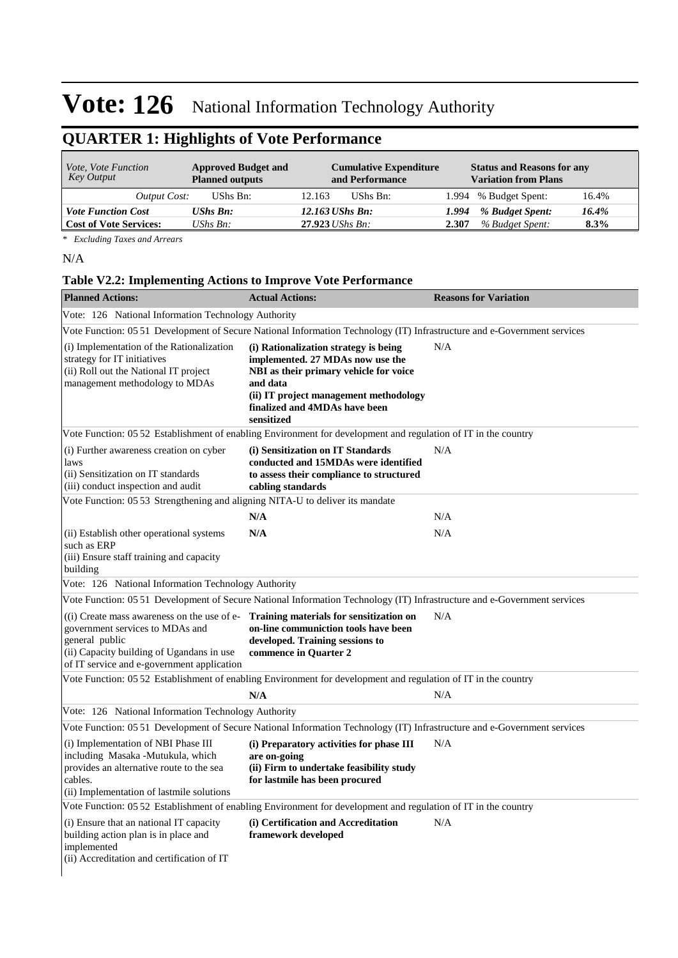## **QUARTER 1: Highlights of Vote Performance**

| <i>Vote, Vote Function</i><br>Key Output | <b>Approved Budget and</b><br><b>Planned outputs</b> | <b>Cumulative Expenditure</b><br>and Performance | <b>Status and Reasons for any</b><br><b>Variation from Plans</b> |  |  |  |
|------------------------------------------|------------------------------------------------------|--------------------------------------------------|------------------------------------------------------------------|--|--|--|
| Output Cost:                             | UShs Bn:                                             | UShs Bn:<br>12.163                               | 1.994 % Budget Spent:<br>16.4%                                   |  |  |  |
| <b>Vote Function Cost</b>                | <b>UShs Bn:</b>                                      | 12.163 UShs Bn:                                  | % Budget Spent:<br>16.4%<br>1.994                                |  |  |  |
| <b>Cost of Vote Services:</b>            | UShs $B_n$ :                                         | $27.923$ UShs Bn:                                | % Budget Spent:<br>2.307<br>$8.3\%$                              |  |  |  |

*\* Excluding Taxes and Arrears*

#### N/A

### **Table V2.2: Implementing Actions to Improve Vote Performance**

| <b>Planned Actions:</b>                                                                                                                                                                                                               | <b>Actual Actions:</b>                                                                                                                                                                                                   | <b>Reasons for Variation</b> |
|---------------------------------------------------------------------------------------------------------------------------------------------------------------------------------------------------------------------------------------|--------------------------------------------------------------------------------------------------------------------------------------------------------------------------------------------------------------------------|------------------------------|
| Vote: 126 National Information Technology Authority                                                                                                                                                                                   |                                                                                                                                                                                                                          |                              |
|                                                                                                                                                                                                                                       | Vote Function: 05 51 Development of Secure National Information Technology (IT) Infrastructure and e-Government services                                                                                                 |                              |
| (i) Implementation of the Rationalization<br>strategy for IT initiatives<br>(ii) Roll out the National IT project<br>management methodology to MDAs                                                                                   | (i) Rationalization strategy is being<br>implemented. 27 MDAs now use the<br>NBI as their primary vehicle for voice<br>and data<br>(ii) IT project management methodology<br>finalized and 4MDAs have been<br>sensitized | N/A                          |
|                                                                                                                                                                                                                                       | Vote Function: 05 52 Establishment of enabling Environment for development and regulation of IT in the country                                                                                                           |                              |
| (i) Further awareness creation on cyber<br>laws<br>(ii) Sensitization on IT standards<br>(iii) conduct inspection and audit                                                                                                           | (i) Sensitization on IT Standards<br>conducted and 15MDAs were identified<br>to assess their compliance to structured<br>cabling standards                                                                               | N/A                          |
| Vote Function: 05.53 Strengthening and aligning NITA-U to deliver its mandate                                                                                                                                                         |                                                                                                                                                                                                                          |                              |
|                                                                                                                                                                                                                                       | N/A                                                                                                                                                                                                                      | N/A                          |
| (ii) Establish other operational systems<br>such as ERP<br>(iii) Ensure staff training and capacity<br>building                                                                                                                       | N/A                                                                                                                                                                                                                      | N/A                          |
| Vote: 126 National Information Technology Authority                                                                                                                                                                                   |                                                                                                                                                                                                                          |                              |
|                                                                                                                                                                                                                                       | Vote Function: 05 51 Development of Secure National Information Technology (IT) Infrastructure and e-Government services                                                                                                 |                              |
| $($ i) Create mass awareness on the use of e- Training materials for sensitization on<br>government services to MDAs and<br>general public<br>(ii) Capacity building of Ugandans in use<br>of IT service and e-government application | on-line communiction tools have been<br>developed. Training sessions to<br>commence in Quarter 2                                                                                                                         | N/A                          |
|                                                                                                                                                                                                                                       | Vote Function: 05.52 Establishment of enabling Environment for development and regulation of IT in the country                                                                                                           |                              |
|                                                                                                                                                                                                                                       | N/A                                                                                                                                                                                                                      | N/A                          |
| Vote: 126 National Information Technology Authority                                                                                                                                                                                   |                                                                                                                                                                                                                          |                              |
|                                                                                                                                                                                                                                       | Vote Function: 05 51 Development of Secure National Information Technology (IT) Infrastructure and e-Government services                                                                                                 |                              |
| (i) Implementation of NBI Phase III<br>including Masaka -Mutukula, which<br>provides an alternative route to the sea<br>cables.<br>(ii) Implementation of lastmile solutions                                                          | (i) Preparatory activities for phase III<br>are on-going<br>(ii) Firm to undertake feasibility study<br>for lastmile has been procured                                                                                   | N/A                          |
|                                                                                                                                                                                                                                       | Vote Function: 05 52 Establishment of enabling Environment for development and regulation of IT in the country                                                                                                           |                              |
| (i) Ensure that an national IT capacity<br>building action plan is in place and<br>implemented<br>(ii) Accreditation and certification of IT                                                                                          | (i) Certification and Accreditation<br>framework developed                                                                                                                                                               | N/A                          |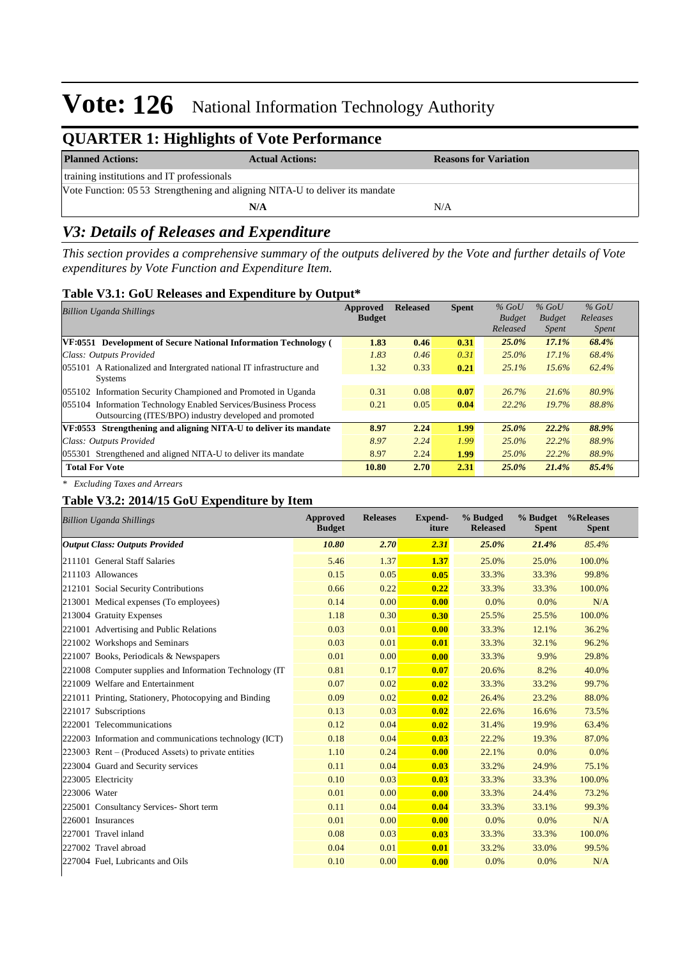## **QUARTER 1: Highlights of Vote Performance**

| <b>Planned Actions:</b>                                                       | <b>Actual Actions:</b> | <b>Reasons for Variation</b> |  |  |  |  |
|-------------------------------------------------------------------------------|------------------------|------------------------------|--|--|--|--|
| training institutions and IT professionals                                    |                        |                              |  |  |  |  |
| Vote Function: 05 53 Strengthening and aligning NITA-U to deliver its mandate |                        |                              |  |  |  |  |
|                                                                               | N/A                    | N/A                          |  |  |  |  |

### *V3: Details of Releases and Expenditure*

*This section provides a comprehensive summary of the outputs delivered by the Vote and further details of Vote expenditures by Vote Function and Expenditure Item.*

### **Table V3.1: GoU Releases and Expenditure by Output\***

| <b>Billion Uganda Shillings</b>                                      | Approved<br><b>Budget</b> | <b>Released</b> | <b>Spent</b> | $%$ GoU<br><b>Budget</b><br>Released | $%$ GoU<br><b>Budget</b><br><i>Spent</i> | $%$ GoU<br>Releases<br><i>Spent</i> |
|----------------------------------------------------------------------|---------------------------|-----------------|--------------|--------------------------------------|------------------------------------------|-------------------------------------|
| VF:0551 Development of Secure National Information Technology (      | 1.83                      | 0.46            | 0.31         | 25.0%                                | 17.1%                                    | 68.4%                               |
| Class: Outputs Provided                                              | 1.83                      | 0.46            | 0.31         | 25.0%                                | 17.1%                                    | 68.4%                               |
| 055101 A Rationalized and Intergrated national IT infrastructure and | 1.32                      | 0.33            | 0.21         | 25.1%                                | 15.6%                                    | 62.4%                               |
| <b>Systems</b>                                                       |                           |                 |              |                                      |                                          |                                     |
| 055102 Information Security Championed and Promoted in Uganda        | 0.31                      | 0.08            | 0.07         | 26.7%                                | 21.6%                                    | 80.9%                               |
| 055104 Information Technology Enabled Services/Business Process      | 0.21                      | 0.05            | 0.04         | 22.2%                                | 19.7%                                    | 88.8%                               |
| Outsourcing (ITES/BPO) industry developed and promoted               |                           |                 |              |                                      |                                          |                                     |
| VF:0553 Strengthening and aligning NITA-U to deliver its mandate     | 8.97                      | 2,24            | 1.99         | 25.0%                                | 22.2%                                    | 88.9%                               |
| Class: Outputs Provided                                              | 8.97                      | 2.24            | 1.99         | $25.0\%$                             | 22.2%                                    | 88.9%                               |
| 055301 Strengthened and aligned NITA-U to deliver its mandate        | 8.97                      | 2.24            | 1.99         | 25.0%                                | 22.2%                                    | 88.9%                               |
| <b>Total For Vote</b>                                                | 10.80                     | 2.70            | 2.31         | $25.0\%$                             | 21.4%                                    | 85.4%                               |

*\* Excluding Taxes and Arrears*

### **Table V3.2: 2014/15 GoU Expenditure by Item**

| <b>Billion Uganda Shillings</b>                          | <b>Approved</b><br><b>Budget</b> | <b>Releases</b> | <b>Expend-</b><br>iture | % Budged<br><b>Released</b> | % Budget<br><b>Spent</b> | %Releases<br><b>Spent</b> |
|----------------------------------------------------------|----------------------------------|-----------------|-------------------------|-----------------------------|--------------------------|---------------------------|
| <b>Output Class: Outputs Provided</b>                    | 10.80                            | 2.70            | 2.31                    | 25.0%                       | 21.4%                    | 85.4%                     |
| 211101 General Staff Salaries                            | 5.46                             | 1.37            | 1.37                    | 25.0%                       | 25.0%                    | 100.0%                    |
| 211103 Allowances                                        | 0.15                             | 0.05            | 0.05                    | 33.3%                       | 33.3%                    | 99.8%                     |
| 212101 Social Security Contributions                     | 0.66                             | 0.22            | 0.22                    | 33.3%                       | 33.3%                    | 100.0%                    |
| 213001 Medical expenses (To employees)                   | 0.14                             | 0.00            | 0.00                    | 0.0%                        | 0.0%                     | N/A                       |
| 213004 Gratuity Expenses                                 | 1.18                             | 0.30            | 0.30                    | 25.5%                       | 25.5%                    | 100.0%                    |
| 221001 Advertising and Public Relations                  | 0.03                             | 0.01            | 0.00                    | 33.3%                       | 12.1%                    | 36.2%                     |
| 221002 Workshops and Seminars                            | 0.03                             | 0.01            | 0.01                    | 33.3%                       | 32.1%                    | 96.2%                     |
| 221007 Books, Periodicals & Newspapers                   | 0.01                             | 0.00            | 0.00                    | 33.3%                       | 9.9%                     | 29.8%                     |
| 221008 Computer supplies and Information Technology (IT) | 0.81                             | 0.17            | 0.07                    | 20.6%                       | 8.2%                     | 40.0%                     |
| 221009 Welfare and Entertainment                         | 0.07                             | 0.02            | 0.02                    | 33.3%                       | 33.2%                    | 99.7%                     |
| 221011 Printing, Stationery, Photocopying and Binding    | 0.09                             | 0.02            | 0.02                    | 26.4%                       | 23.2%                    | 88.0%                     |
| 221017 Subscriptions                                     | 0.13                             | 0.03            | 0.02                    | 22.6%                       | 16.6%                    | 73.5%                     |
| 222001 Telecommunications                                | 0.12                             | 0.04            | 0.02                    | 31.4%                       | 19.9%                    | 63.4%                     |
| 222003 Information and communications technology (ICT)   | 0.18                             | 0.04            | 0.03                    | 22.2%                       | 19.3%                    | 87.0%                     |
| 223003 Rent – (Produced Assets) to private entities      | 1.10                             | 0.24            | 0.00                    | 22.1%                       | 0.0%                     | 0.0%                      |
| 223004 Guard and Security services                       | 0.11                             | 0.04            | 0.03                    | 33.2%                       | 24.9%                    | 75.1%                     |
| 223005 Electricity                                       | 0.10                             | 0.03            | 0.03                    | 33.3%                       | 33.3%                    | 100.0%                    |
| 223006 Water                                             | 0.01                             | 0.00            | 0.00                    | 33.3%                       | 24.4%                    | 73.2%                     |
| 225001 Consultancy Services- Short term                  | 0.11                             | 0.04            | 0.04                    | 33.3%                       | 33.1%                    | 99.3%                     |
| 226001 Insurances                                        | 0.01                             | 0.00            | 0.00                    | 0.0%                        | 0.0%                     | N/A                       |
| 227001 Travel inland                                     | 0.08                             | 0.03            | 0.03                    | 33.3%                       | 33.3%                    | 100.0%                    |
| 227002 Travel abroad                                     | 0.04                             | 0.01            | 0.01                    | 33.2%                       | 33.0%                    | 99.5%                     |
| 227004 Fuel, Lubricants and Oils                         | 0.10                             | 0.00            | 0.00                    | 0.0%                        | 0.0%                     | N/A                       |